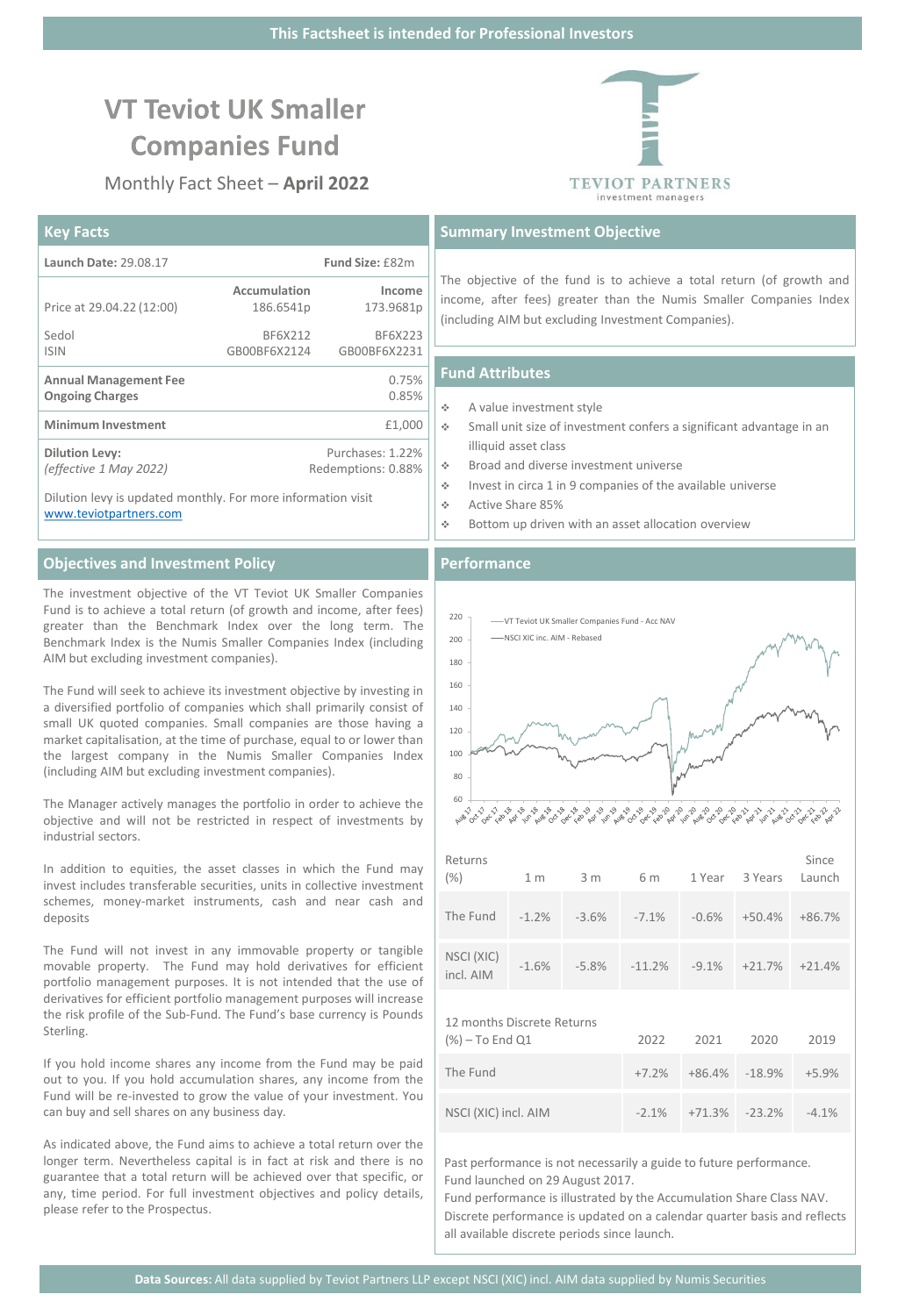# **VT Teviot UK Smaller Companies Fund**

Monthly Fact Sheet – **April 2022**

# **Key Facts**

| Launch Date: 29.08.17                                        |              | <b>Fund Size: £82m</b> |  |
|--------------------------------------------------------------|--------------|------------------------|--|
|                                                              | Accumulation | Income                 |  |
| Price at 29.04.22 (12:00)                                    | 186.6541p    | 173.9681p              |  |
| Sedol                                                        | BF6X212      | BF6X223                |  |
| <b>ISIN</b>                                                  | GB00BF6X2124 | GB00BF6X2231           |  |
| <b>Annual Management Fee</b>                                 |              | 0.75%                  |  |
| <b>Ongoing Charges</b>                                       |              | 0.85%                  |  |
| <b>Minimum Investment</b>                                    |              | £1,000                 |  |
| <b>Dilution Levy:</b>                                        |              | Purchases: 1.22%       |  |
| (effective 1 May 2022)                                       |              | Redemptions: 0.88%     |  |
| Dilution levy is updated monthly. For more information visit |              |                        |  |

[www.teviotpartners.com](http://www.teviotpartners.com/)

# **Objectives and Investment Policy**

The investment objective of the VT Teviot UK Smaller Companies Fund is to achieve a total return (of growth and income, after fees) greater than the Benchmark Index over the long term. The Benchmark Index is the Numis Smaller Companies Index (including AIM but excluding investment companies).

The Fund will seek to achieve its investment objective by investing in a diversified portfolio of companies which shall primarily consist of small UK quoted companies. Small companies are those having a market capitalisation, at the time of purchase, equal to or lower than the largest company in the Numis Smaller Companies Index (including AIM but excluding investment companies).

The Manager actively manages the portfolio in order to achieve the objective and will not be restricted in respect of investments by industrial sectors.

In addition to equities, the asset classes in which the Fund may invest includes transferable securities, units in collective investment schemes, money-market instruments, cash and near cash and deposits

The Fund will not invest in any immovable property or tangible movable property. The Fund may hold derivatives for efficient portfolio management purposes. It is not intended that the use of derivatives for efficient portfolio management purposes will increase the risk profile of the Sub-Fund. The Fund's base currency is Pounds Sterling.

If you hold income shares any income from the Fund may be paid out to you. If you hold accumulation shares, any income from the Fund will be re-invested to grow the value of your investment. You can buy and sell shares on any business day.

As indicated above, the Fund aims to achieve a total return over the longer term. Nevertheless capital is in fact at risk and there is no guarantee that a total return will be achieved over that specific, or any, time period. For full investment objectives and policy details, please refer to the Prospectus.

# **TEVIOT PARTNERS** investment managers

# **Summary Investment Objective**

The objective of the fund is to achieve a total return (of growth and income, after fees) greater than the Numis Smaller Companies Index (including AIM but excluding Investment Companies).

# **Fund Attributes**

- ❖ A value investment style
- ❖ Small unit size of investment confers a significant advantage in an illiquid asset class
- ❖ Broad and diverse investment universe
- ❖ Invest in circa 1 in 9 companies of the available universe
- ❖ Active Share 85%
- ❖ Bottom up driven with an asset allocation overview

#### **Performance**



| ,,,,,,,,,,<br>(% )                                   | 1 m | 3m | 6 m                                                      | 1 Year 3 Years Launch | $-1111$ |
|------------------------------------------------------|-----|----|----------------------------------------------------------|-----------------------|---------|
| The Fund  -1.2%  -3.6%  -7.1%  -0.6%  +50.4%  +86.7% |     |    |                                                          |                       |         |
| NSCI (XIC)<br>incl. AIM                              |     |    | $-1.6\%$ $-5.8\%$ $-11.2\%$ $-9.1\%$ $+21.7\%$ $+21.4\%$ |                       |         |

12 months Discrete Returns

| $(\%)-$ To End Q1    | 2022     | 2021 | 2020                                  | 2019     |
|----------------------|----------|------|---------------------------------------|----------|
| The Fund             |          |      | $+7.2\%$ $+86.4\%$ $-18.9\%$ $+5.9\%$ |          |
| NSCI (XIC) incl. AIM | $-2.1\%$ |      | +71.3% -23.2%                         | $-4.1\%$ |

Past performance is not necessarily a guide to future performance. Fund launched on 29 August 2017.

Fund performance is illustrated by the Accumulation Share Class NAV. Discrete performance is updated on a calendar quarter basis and reflects all available discrete periods since launch.